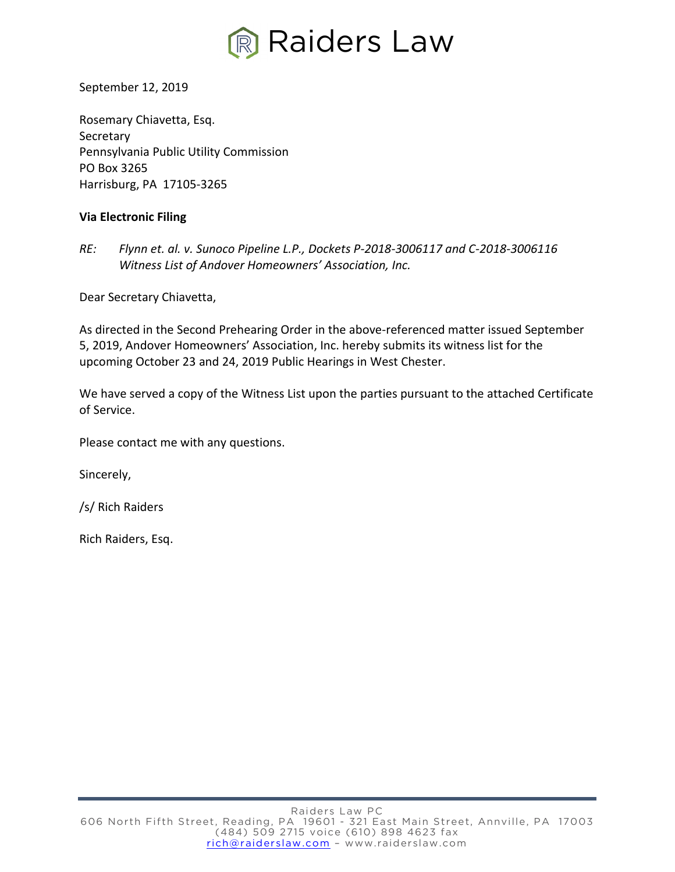

September 12, 2019

Rosemary Chiavetta, Esq. Secretary Pennsylvania Public Utility Commission PO Box 3265 Harrisburg, PA 17105-3265

## **Via Electronic Filing**

*RE: Flynn et. al. v. Sunoco Pipeline L.P., Dockets P-2018-3006117 and C-2018-3006116 Witness List of Andover Homeowners' Association, Inc.*

Dear Secretary Chiavetta,

As directed in the Second Prehearing Order in the above-referenced matter issued September 5, 2019, Andover Homeowners' Association, Inc. hereby submits its witness list for the upcoming October 23 and 24, 2019 Public Hearings in West Chester.

We have served a copy of the Witness List upon the parties pursuant to the attached Certificate of Service.

Please contact me with any questions.

Sincerely,

/s/ Rich Raiders

Rich Raiders, Esq.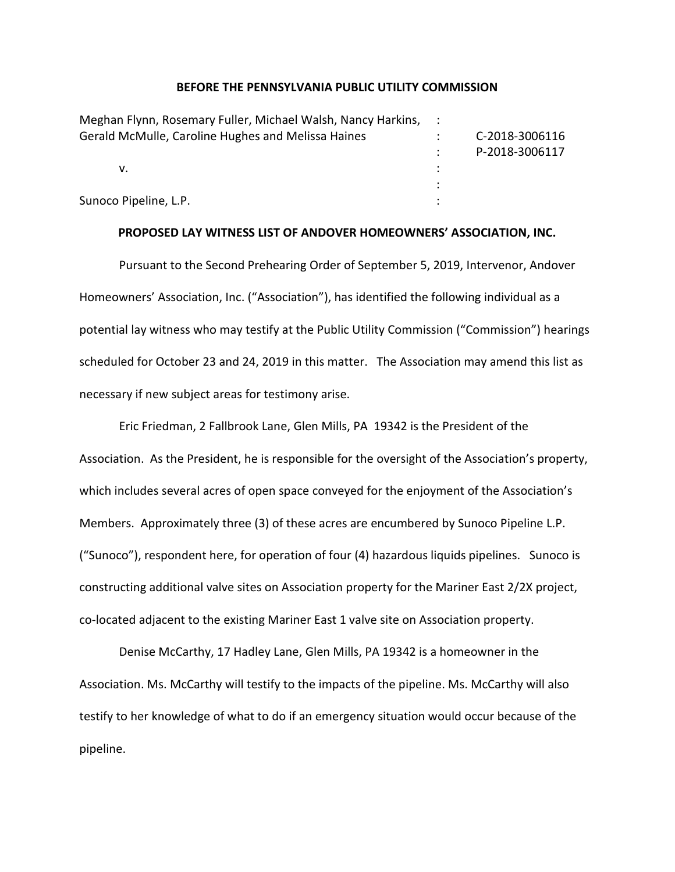#### **BEFORE THE PENNSYLVANIA PUBLIC UTILITY COMMISSION**

| Meghan Flynn, Rosemary Fuller, Michael Walsh, Nancy Harkins, : |                |
|----------------------------------------------------------------|----------------|
| Gerald McMulle, Caroline Hughes and Melissa Haines             | C-2018-3006116 |
|                                                                | P-2018-3006117 |
| v.                                                             |                |
|                                                                |                |
| Sunoco Pipeline, L.P.                                          |                |

#### **PROPOSED LAY WITNESS LIST OF ANDOVER HOMEOWNERS' ASSOCIATION, INC.**

Pursuant to the Second Prehearing Order of September 5, 2019, Intervenor, Andover Homeowners' Association, Inc. ("Association"), has identified the following individual as a potential lay witness who may testify at the Public Utility Commission ("Commission") hearings scheduled for October 23 and 24, 2019 in this matter. The Association may amend this list as necessary if new subject areas for testimony arise.

Eric Friedman, 2 Fallbrook Lane, Glen Mills, PA 19342 is the President of the Association. As the President, he is responsible for the oversight of the Association's property, which includes several acres of open space conveyed for the enjoyment of the Association's Members. Approximately three (3) of these acres are encumbered by Sunoco Pipeline L.P. ("Sunoco"), respondent here, for operation of four (4) hazardous liquids pipelines. Sunoco is constructing additional valve sites on Association property for the Mariner East 2/2X project, co-located adjacent to the existing Mariner East 1 valve site on Association property.

Denise McCarthy, 17 Hadley Lane, Glen Mills, PA 19342 is a homeowner in the Association. Ms. McCarthy will testify to the impacts of the pipeline. Ms. McCarthy will also testify to her knowledge of what to do if an emergency situation would occur because of the pipeline.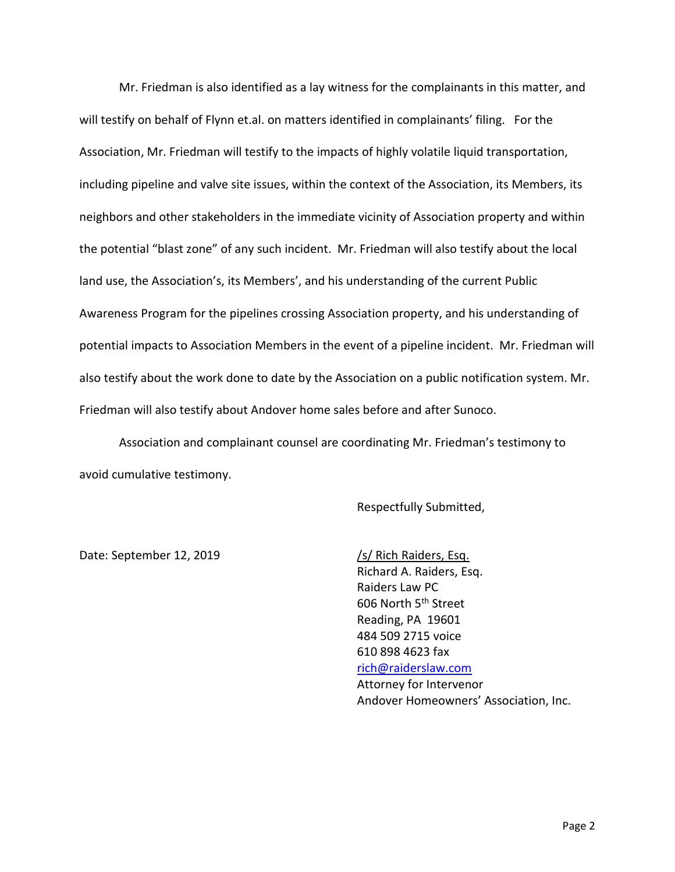Mr. Friedman is also identified as a lay witness for the complainants in this matter, and will testify on behalf of Flynn et.al. on matters identified in complainants' filing. For the Association, Mr. Friedman will testify to the impacts of highly volatile liquid transportation, including pipeline and valve site issues, within the context of the Association, its Members, its neighbors and other stakeholders in the immediate vicinity of Association property and within the potential "blast zone" of any such incident. Mr. Friedman will also testify about the local land use, the Association's, its Members', and his understanding of the current Public Awareness Program for the pipelines crossing Association property, and his understanding of potential impacts to Association Members in the event of a pipeline incident. Mr. Friedman will also testify about the work done to date by the Association on a public notification system. Mr. Friedman will also testify about Andover home sales before and after Sunoco.

Association and complainant counsel are coordinating Mr. Friedman's testimony to avoid cumulative testimony.

Respectfully Submitted,

Date: September 12, 2019 /s/ Rich Raiders, Esq.

Richard A. Raiders, Esq. Raiders Law PC 606 North 5th Street Reading, PA 19601 484 509 2715 voice 610 898 4623 fax [rich@raiderslaw.com](mailto:rich@raiderslaw.com) Attorney for Intervenor Andover Homeowners' Association, Inc.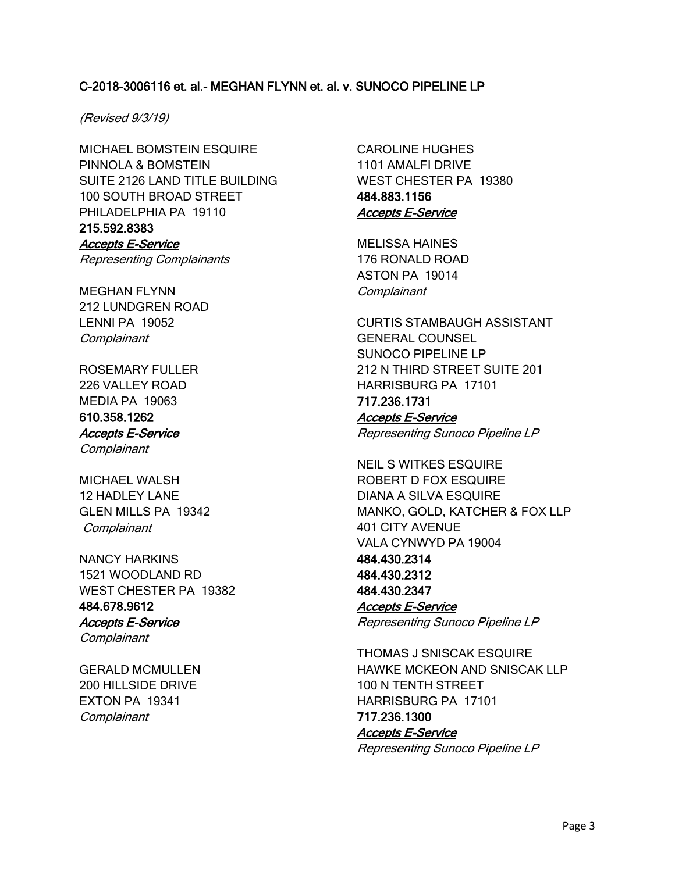# C-2018-3006116 et. al.- MEGHAN FLYNN et. al. v. SUNOCO PIPELINE LP

### (Revised 9/3/19)

MICHAEL BOMSTEIN ESQUIRE PINNOLA & BOMSTEIN SUITE 2126 LAND TITLE BUILDING 100 SOUTH BROAD STREET PHILADELPHIA PA 19110 215.592.8383 Accepts E-Service

Representing Complainants

MEGHAN FLYNN 212 LUNDGREN ROAD LENNI PA 19052 **Complainant** 

ROSEMARY FULLER 226 VALLEY ROAD MEDIA PA 19063 610.358.1262 Accepts E-Service **Complainant** 

MICHAEL WALSH 12 HADLEY LANE GLEN MILLS PA 19342 **Complainant** 

NANCY HARKINS 1521 WOODLAND RD WEST CHESTER PA 19382 484.678.9612 Accepts E-Service

**Complainant** 

GERALD MCMULLEN 200 HILLSIDE DRIVE EXTON PA 19341 **Complainant** 

CAROLINE HUGHES 1101 AMALFI DRIVE WEST CHESTER PA 19380 484.883.1156 Accepts E-Service

MELISSA HAINES 176 RONALD ROAD ASTON PA 19014 **Complainant** 

CURTIS STAMBAUGH ASSISTANT GENERAL COUNSEL SUNOCO PIPELINE LP 212 N THIRD STREET SUITE 201 HARRISBURG PA 17101 717.236.1731 Accepts E-Service

Representing Sunoco Pipeline LP

NEIL S WITKES ESQUIRE ROBERT D FOX ESQUIRE DIANA A SILVA ESQUIRE MANKO, GOLD, KATCHER & FOX LLP 401 CITY AVENUE VALA CYNWYD PA 19004 484.430.2314 484.430.2312 484.430.2347 Accepts E-Service Representing Sunoco Pipeline LP

THOMAS J SNISCAK ESQUIRE HAWKE MCKEON AND SNISCAK LLP 100 N TENTH STREET HARRISBURG PA 17101 717.236.1300 Accepts E-Service

Representing Sunoco Pipeline LP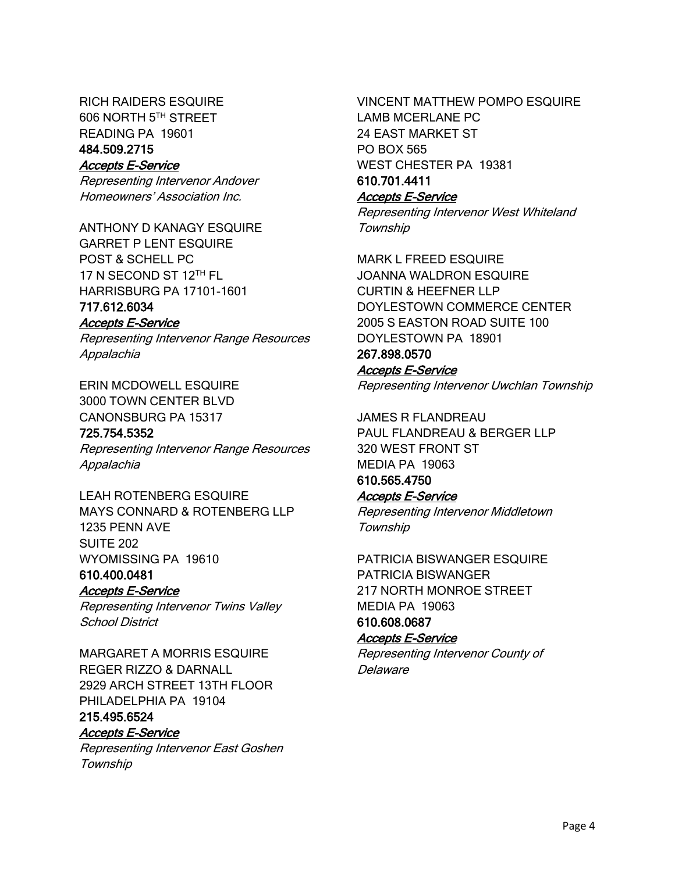RICH RAIDERS ESQUIRE 606 NORTH 5TH STREET READING PA 19601 484.509.2715

Accepts E-Service

Representing Intervenor Andover Homeowners' Association Inc.

ANTHONY D KANAGY ESQUIRE GARRET P LENT ESQUIRE POST & SCHELL PC 17 N SECOND ST 12TH FL HARRISBURG PA 17101-1601 717.612.6034

## Accepts E-Service

Representing Intervenor Range Resources Appalachia

ERIN MCDOWELL ESQUIRE 3000 TOWN CENTER BLVD

CANONSBURG PA 15317 725.754.5352

Representing Intervenor Range Resources Appalachia

LEAH ROTENBERG ESQUIRE MAYS CONNARD & ROTENBERG LLP 1235 PENN AVE SUITE 202 WYOMISSING PA 19610

610.400.0481 Accepts E-Service

Representing Intervenor Twins Valley School District

MARGARET A MORRIS ESQUIRE REGER RIZZO & DARNALL 2929 ARCH STREET 13TH FLOOR PHILADELPHIA PA 19104

#### 215.495.6524 Accepts E-Service

Representing Intervenor East Goshen **Township** 

VINCENT MATTHEW POMPO ESQUIRE LAMB MCERLANE PC 24 EAST MARKET ST PO BOX 565 WEST CHESTER PA 19381

#### 610.701.4411 Accepts E-Service

Representing Intervenor West Whiteland **Township** 

MARK L FREED ESQUIRE JOANNA WALDRON ESQUIRE CURTIN & HEEFNER LLP DOYLESTOWN COMMERCE CENTER 2005 S EASTON ROAD SUITE 100 DOYLESTOWN PA 18901 267.898.0570

# Accepts E-Service

Representing Intervenor Uwchlan Township

JAMES R FLANDREAU PAUL FLANDREAU & BERGER LLP 320 WEST FRONT ST MEDIA PA 19063 610.565.4750

# Accepts E-Service

Representing Intervenor Middletown **Township** 

PATRICIA BISWANGER ESQUIRE PATRICIA BISWANGER 217 NORTH MONROE STREET MEDIA PA 19063 610.608.0687

# Accepts E-Service

Representing Intervenor County of Delaware